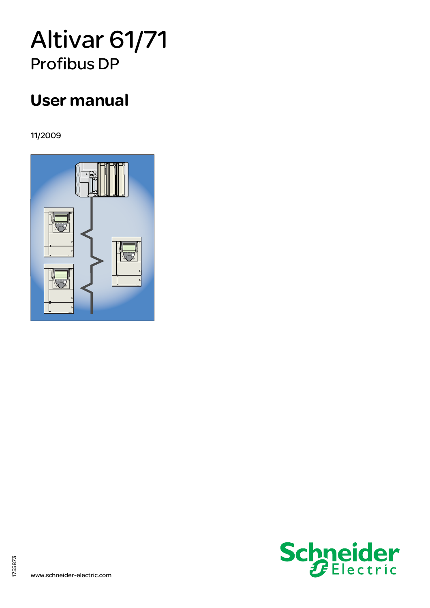# Altivar 61/71 Profibus DP

# User manual

11/2009





1755873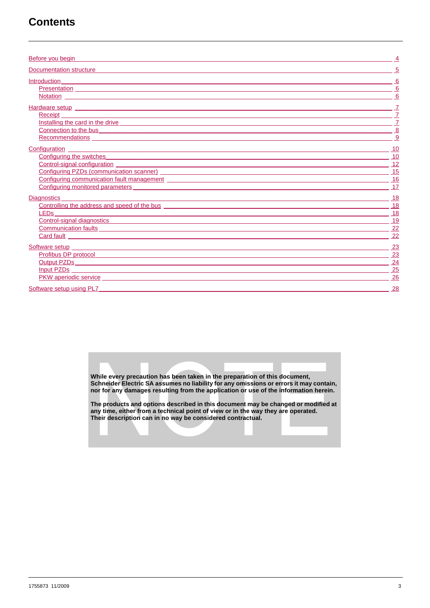## **Contents**

| Before you begin                                                                                                                                                                                                                     |                 |
|--------------------------------------------------------------------------------------------------------------------------------------------------------------------------------------------------------------------------------------|-----------------|
| Documentation structure experience and the control of the control of the control of the control of the control of the control of the control of the control of the control of the control of the control of the control of the       |                 |
| Introduction                                                                                                                                                                                                                         | - 6             |
|                                                                                                                                                                                                                                      | 6               |
|                                                                                                                                                                                                                                      | 6               |
| Hardware setup <b>Exercise Setup Exercise Setup Exercise Setup Exercise Setup Exercise Setup Exercise Setup</b>                                                                                                                      |                 |
| Receipt Processor and Contract Contract Contract Contract Contract Contract Contract Contract Contract Contract Contract Contract Contract Contract Contract Contract Contract Contract Contract Contract Contract Contract Co       | $\overline{I}$  |
| Installing the card in the drive the contract of the card in the drive the contract of the card in the drive                                                                                                                         | $\overline{7}$  |
| Connection to the business and the contract of the business of the contract of the business of the contract of the contract of the contract of the contract of the contract of the contract of the contract of the contract of       | 8               |
|                                                                                                                                                                                                                                      | 9               |
| <b>Configuration Configuration</b>                                                                                                                                                                                                   | 10              |
| Configuring the switches <b>Configuring</b> the switches                                                                                                                                                                             | 10              |
| <u>Control-signal configuration</u>                                                                                                                                                                                                  | 12              |
|                                                                                                                                                                                                                                      | 15              |
| Configuring communication fault management <b>contract to the contract of the contract of the contract of the contract of the contract of the contract of the contract of the contract of the contract of the contract of the co</b> | 16              |
| Configuring monitored parameters experience of the contract of the contract of the contract of the contract of the contract of the contract of the contract of the contract of the contract of the contract of the contract of       | 17              |
| <b>Diagnostics</b>                                                                                                                                                                                                                   | -18             |
| Controlling the address and speed of the bus <b>controlling</b> the address and speed of the bus                                                                                                                                     | 18              |
| <b>LED<sub>s</sub></b>                                                                                                                                                                                                               | 18              |
| Control-signal diagnostics experience of the control signal diagnostics and control-signal diagnostics of the control of the control of the control of the control of the control of the control of the control of the control       | 19              |
|                                                                                                                                                                                                                                      | $\overline{22}$ |
|                                                                                                                                                                                                                                      | 22              |
| Software setup entrance and the setup of the setup of the setup of the setup of the setup of the setup of the                                                                                                                        | -23             |
| Profibus DP protocol and the contract of the contract of the contract of the contract of the contract of the contract of the contract of the contract of the contract of the contract of the contract of the contract of the c       | 23              |
| Output PZDs and the contract of the contract of the contract of the contract of the contract of the contract of the contract of the contract of the contract of the contract of the contract of the contract of the contract o       | 24              |
| <u>Input PZDs</u>                                                                                                                                                                                                                    | 25              |
| PKW aperiodic service experiments and the service of the service of the service of the service of the service                                                                                                                        | 26              |
| Software setup using PL7                                                                                                                                                                                                             | <u>28</u>       |

While every precaution has been taken in the preparation of this document,<br>Schneider Electric SA assumes no liability for any omissions or errors it may contain,<br>nor for any damages resulting from the application or use of

The products and options described in this document may be changed or modified at any time, either from a technical point of view or in the way they are operated.<br>Their description can in no way be considered contractual.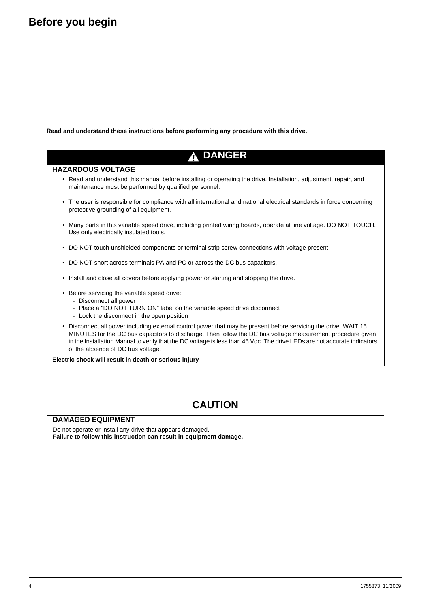<span id="page-3-0"></span>**Read and understand these instructions before performing any procedure with this drive.**

# **A DANGER**

#### **HAZARDOUS VOLTAGE**

- Read and understand this manual before installing or operating the drive. Installation, adjustment, repair, and maintenance must be performed by qualified personnel.
- The user is responsible for compliance with all international and national electrical standards in force concerning protective grounding of all equipment.
- Many parts in this variable speed drive, including printed wiring boards, operate at line voltage. DO NOT TOUCH. Use only electrically insulated tools.
- DO NOT touch unshielded components or terminal strip screw connections with voltage present.
- DO NOT short across terminals PA and PC or across the DC bus capacitors.
- Install and close all covers before applying power or starting and stopping the drive.
- Before servicing the variable speed drive:
	- Disconnect all power
	- Place a "DO NOT TURN ON" label on the variable speed drive disconnect
	- Lock the disconnect in the open position
- Disconnect all power including external control power that may be present before servicing the drive. WAIT 15 MINUTES for the DC bus capacitors to discharge. Then follow the DC bus voltage measurement procedure given in the Installation Manual to verify that the DC voltage is less than 45 Vdc. The drive LEDs are not accurate indicators of the absence of DC bus voltage.

**Electric shock will result in death or serious injury**

## **CAUTION**

#### **DAMAGED EQUIPMENT**

Do not operate or install any drive that appears damaged. **Failure to follow this instruction can result in equipment damage.**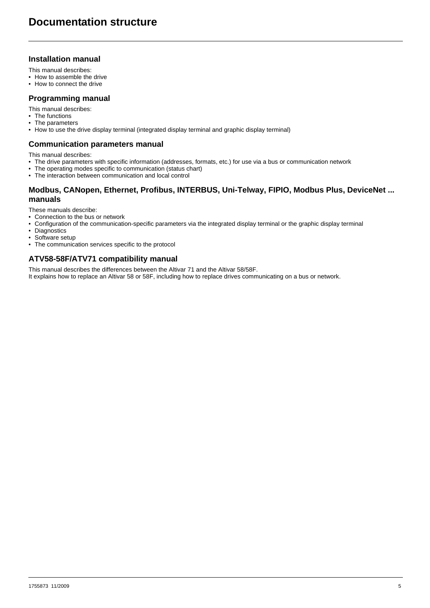### <span id="page-4-0"></span>**Installation manual**

This manual describes:

- How to assemble the drive
- How to connect the drive

#### **Programming manual**

This manual describes:

- The functions
- The parameters
- How to use the drive display terminal (integrated display terminal and graphic display terminal)

#### **Communication parameters manual**

This manual describes:

- The drive parameters with specific information (addresses, formats, etc.) for use via a bus or communication network
- The operating modes specific to communication (status chart)
- The interaction between communication and local control

### **Modbus, CANopen, Ethernet, Profibus, INTERBUS, Uni-Telway, FIPIO, Modbus Plus, DeviceNet ... manuals**

These manuals describe:

- Connection to the bus or network
- Configuration of the communication-specific parameters via the integrated display terminal or the graphic display terminal
- Diagnostics
- Software setup
- The communication services specific to the protocol

### **ATV58-58F/ATV71 compatibility manual**

This manual describes the differences between the Altivar 71 and the Altivar 58/58F. It explains how to replace an Altivar 58 or 58F, including how to replace drives communicating on a bus or network.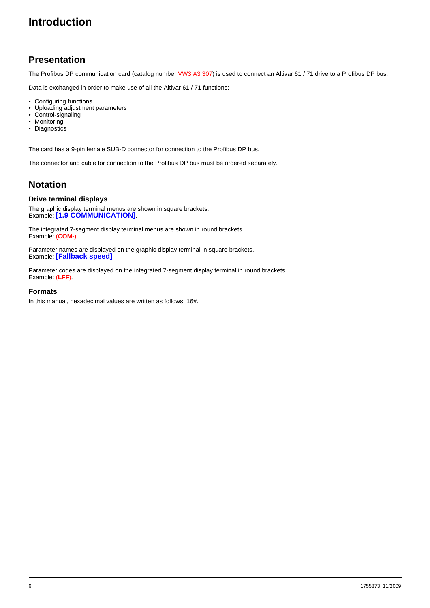### <span id="page-5-1"></span><span id="page-5-0"></span>**Presentation**

The Profibus DP communication card (catalog number VW3 A3 307) is used to connect an Altivar 61 / 71 drive to a Profibus DP bus.

Data is exchanged in order to make use of all the Altivar 61 / 71 functions:

- Configuring functions
- Uploading adjustment parameters
- Control-signaling
- Monitoring
- Diagnostics

The card has a 9-pin female SUB-D connector for connection to the Profibus DP bus.

The connector and cable for connection to the Profibus DP bus must be ordered separately.

### <span id="page-5-2"></span>**Notation**

#### **Drive terminal displays**

The graphic display terminal menus are shown in square brackets. Example: **[1.9 COMMUNICATION]**.

The integrated 7-segment display terminal menus are shown in round brackets. Example: (**COM-**).

Parameter names are displayed on the graphic display terminal in square brackets. Example: **[Fallback speed]**

Parameter codes are displayed on the integrated 7-segment display terminal in round brackets. Example: (**LFF**).

#### **Formats**

In this manual, hexadecimal values are written as follows: 16#.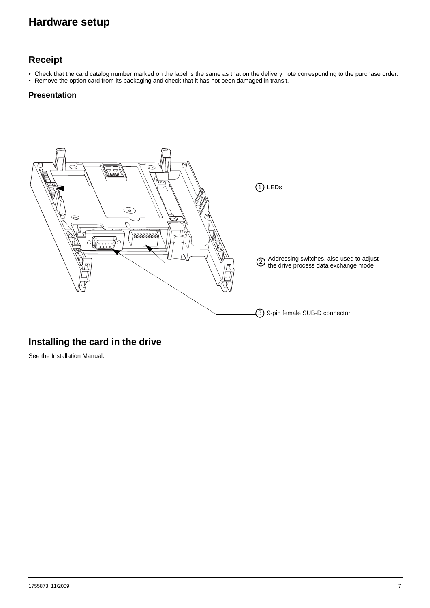### <span id="page-6-1"></span><span id="page-6-0"></span>**Receipt**

- Check that the card catalog number marked on the label is the same as that on the delivery note corresponding to the purchase order.
- Remove the option card from its packaging and check that it has not been damaged in transit.

### **Presentation**



### <span id="page-6-2"></span>**Installing the card in the drive**

See the Installation Manual.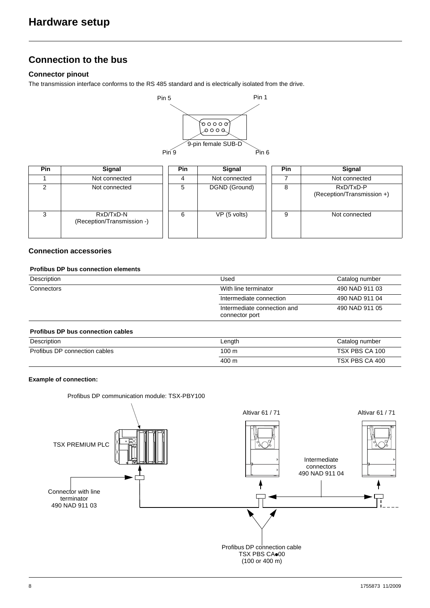### <span id="page-7-0"></span>**Connection to the bus**

### **Connector pinout**

The transmission interface conforms to the RS 485 standard and is electrically isolated from the drive.



| <b>Pin</b> | <b>Signal</b>                           | Pin | <b>Signal</b> | <b>Pin</b> | Signal                                  |
|------------|-----------------------------------------|-----|---------------|------------|-----------------------------------------|
|            | Not connected                           |     | Not connected |            | Not connected                           |
| ົ          | Not connected                           | 5   | DGND (Ground) | 8          | RxD/TxD-P<br>(Reception/Transmission +) |
| ◠          | RxD/TxD-N<br>(Reception/Transmission -) | 6   | VP (5 volts)  | 9          | Not connected                           |

### **Connection accessories**

### **Profibus DP bus connection elements**

| Description | Used                                          | Catalog number |
|-------------|-----------------------------------------------|----------------|
| Connectors  | With line terminator                          | 490 NAD 911 03 |
|             | Intermediate connection                       | 490 NAD 911 04 |
|             | Intermediate connection and<br>connector port | 490 NAD 911 05 |
|             |                                               |                |

### **Profibus DP bus connection cables**

| Description                   | Length | Catalog number |
|-------------------------------|--------|----------------|
| Profibus DP connection cables | 100 m  | TSX PBS CA 100 |
|                               | 400 m  | TSX PBS CA 400 |

#### **Example of connection:**

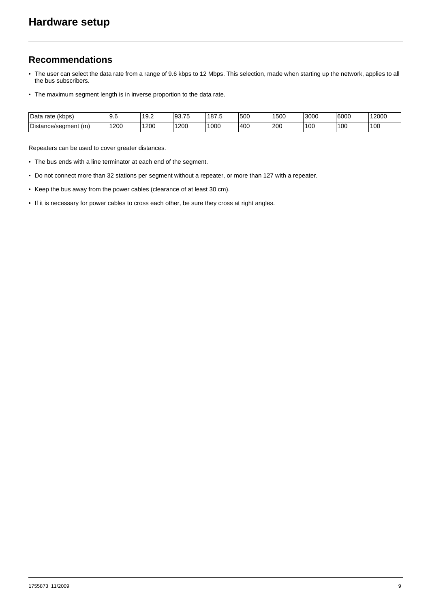### <span id="page-8-0"></span>**Recommendations**

- The user can select the data rate from a range of 9.6 kbps to 12 Mbps. This selection, made when starting up the network, applies to all the bus subscribers.
- The maximum segment length is in inverse proportion to the data rate.

| Data<br>$\cdots$<br>(kbps)<br>rate | ∽<br>v.v   | າດ ດ<br>ч<br>ے. ب | $\overline{\phantom{a}}$<br>$\sim$<br>JJ.IJ | 187.5 | 500 | 1500          | 3000 | 6000 | 12000 |
|------------------------------------|------------|-------------------|---------------------------------------------|-------|-----|---------------|------|------|-------|
| Distance/segment (m)               | 1200<br>__ | 1200<br>___       | 200                                         | 000   | 400 | 200<br>$\sim$ | 100  | 100  | 100   |

Repeaters can be used to cover greater distances.

- The bus ends with a line terminator at each end of the segment.
- Do not connect more than 32 stations per segment without a repeater, or more than 127 with a repeater.
- Keep the bus away from the power cables (clearance of at least 30 cm).
- If it is necessary for power cables to cross each other, be sure they cross at right angles.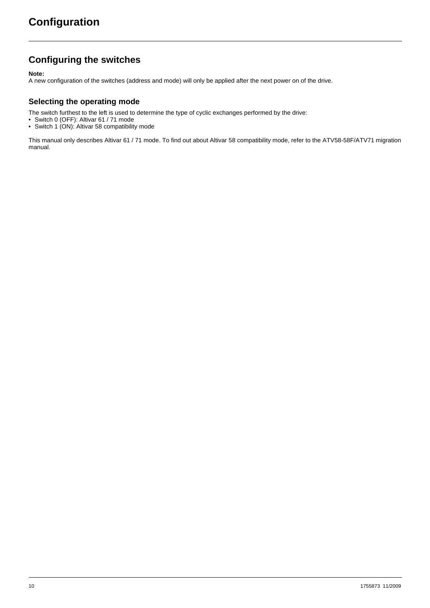### <span id="page-9-1"></span><span id="page-9-0"></span>**Configuring the switches**

**Note:**

A new configuration of the switches (address and mode) will only be applied after the next power on of the drive.

### **Selecting the operating mode**

The switch furthest to the left is used to determine the type of cyclic exchanges performed by the drive:

- Switch 0 (OFF): Altivar 61 / 71 mode
- Switch 1 (ON): Altivar 58 compatibility mode

This manual only describes Altivar 61 / 71 mode. To find out about Altivar 58 compatibility mode, refer to the ATV58-58F/ATV71 migration manual.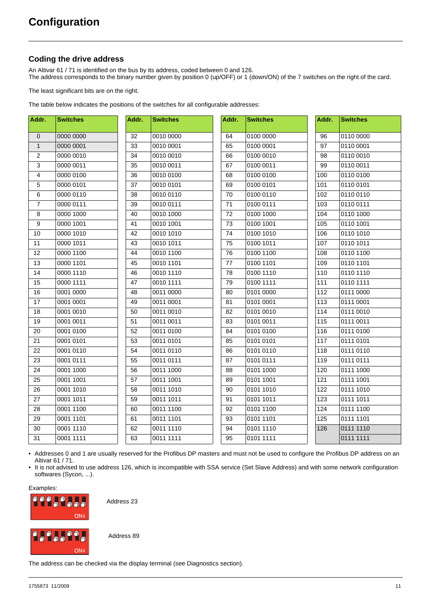### <span id="page-10-0"></span>**Coding the drive address**

An Altivar 61 / 71 is identified on the bus by its address, coded between 0 and 126. The address corresponds to the binary number given by position 0 (up/OFF) or 1 (down/ON) of the 7 switches on the right of the card.

The least significant bits are on the right.

The table below indicates the positions of the switches for all configurable addresses:

| Addr.            | <b>Switches</b> | Addr. | <b>Switches</b> | Addr. | <b>Switches</b> | Addr. | <b>Switches</b> |
|------------------|-----------------|-------|-----------------|-------|-----------------|-------|-----------------|
| $\pmb{0}$        | 0000 0000       | 32    | 0010 0000       | 64    | 0100 0000       | 96    | 0110 0000       |
| $\mathbf{1}$     | 0000 0001       | 33    | 0010 0001       | 65    | 0100 0001       | 97    | 0110 0001       |
| $\sqrt{2}$       | 0000 0010       | 34    | 0010 0010       | 66    | 0100 0010       | 98    | 0110 0010       |
| 3                | 0000 0011       | 35    | 0010 0011       | 67    | 0100 0011       | 99    | 0110 0011       |
| $\overline{4}$   | 0000 0100       | 36    | 0010 0100       | 68    | 0100 0100       | 100   | 0110 0100       |
| 5                | 0000 0101       | 37    | 0010 0101       | 69    | 0100 0101       | 101   | 0110 0101       |
| 6                | 0000 0110       | 38    | 0010 0110       | 70    | 0100 0110       | 102   | 0110 0110       |
| $\overline{7}$   | 0000 0111       | 39    | 0010 0111       | 71    | 0100 0111       | 103   | 0110 0111       |
| 8                | 0000 1000       | 40    | 0010 1000       | 72    | 0100 1000       | 104   | 0110 1000       |
| $\boldsymbol{9}$ | 0000 1001       | 41    | 0010 1001       | 73    | 0100 1001       | 105   | 0110 1001       |
| 10               | 0000 1010       | 42    | 0010 1010       | 74    | 0100 1010       | 106   | 0110 1010       |
| 11               | 0000 1011       | 43    | 0010 1011       | 75    | 0100 1011       | 107   | 0110 1011       |
| 12               | 0000 1100       | 44    | 0010 1100       | 76    | 0100 1100       | 108   | 0110 1100       |
| 13               | 0000 1101       | 45    | 0010 1101       | 77    | 0100 1101       | 109   | 0110 1101       |
| 14               | 0000 1110       | 46    | 0010 1110       | 78    | 0100 1110       | 110   | 0110 1110       |
| 15               | 0000 1111       | 47    | 0010 1111       | 79    | 0100 1111       | 111   | 0110 1111       |
| 16               | 0001 0000       | 48    | 0011 0000       | 80    | 0101 0000       | 112   | 0111 0000       |
| 17               | 0001 0001       | 49    | 0011 0001       | 81    | 0101 0001       | 113   | 0111 0001       |
| 18               | 0001 0010       | 50    | 0011 0010       | 82    | 0101 0010       | 114   | 0111 0010       |
| 19               | 0001 0011       | 51    | 0011 0011       | 83    | 0101 0011       | 115   | 0111 0011       |
| 20               | 0001 0100       | 52    | 0011 0100       | 84    | 0101 0100       | 116   | 0111 0100       |
| 21               | 0001 0101       | 53    | 0011 0101       | 85    | 0101 0101       | 117   | 0111 0101       |
| 22               | 0001 0110       | 54    | 0011 0110       | 86    | 0101 0110       | 118   | 0111 0110       |
| 23               | 0001 0111       | 55    | 0011 0111       | 87    | 0101 0111       | 119   | 0111 0111       |
| 24               | 0001 1000       | 56    | 0011 1000       | 88    | 0101 1000       | 120   | 0111 1000       |
| 25               | 0001 1001       | 57    | 0011 1001       | 89    | 0101 1001       | 121   | 0111 1001       |
| 26               | 0001 1010       | 58    | 0011 1010       | 90    | 0101 1010       | 122   | 0111 1010       |
| 27               | 0001 1011       | 59    | 0011 1011       | 91    | 0101 1011       | 123   | 0111 1011       |
| 28               | 0001 1100       | 60    | 0011 1100       | 92    | 0101 1100       | 124   | 0111 1100       |
| 29               | 0001 1101       | 61    | 0011 1101       | 93    | 0101 1101       | 125   | 0111 1101       |
| 30               | 0001 1110       | 62    | 0011 1110       | 94    | 0101 1110       | 126   | 0111 1110       |
| 31               | 0001 1111       | 63    | 0011 1111       | 95    | 0101 1111       |       | 0111 1111       |

• Addresses 0 and 1 are usually reserved for the Profibus DP masters and must not be used to configure the Profibus DP address on an Altivar 61 / 71.

• It is not advised to use address 126, which is incompatible with SSA service (Set Slave Address) and with some network configuration softwares (Sycon, ...).

Examples:



Address 23

Address 89

The address can be checked via the display terminal (see Diagnostics section).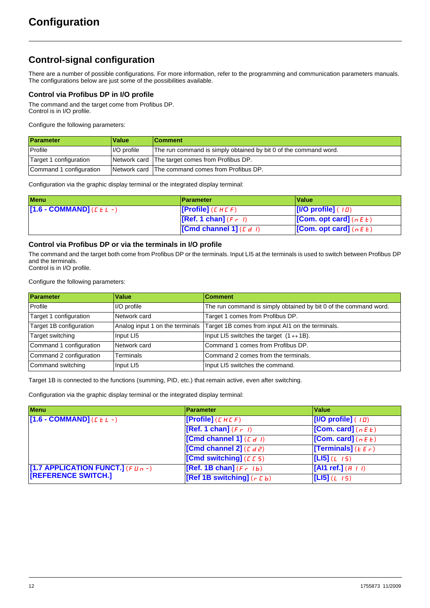### <span id="page-11-0"></span>**Control-signal configuration**

There are a number of possible configurations. For more information, refer to the programming and communication parameters manuals. The configurations below are just some of the possibilities available.

### **Control via Profibus DP in I/O profile**

The command and the target come from Profibus DP. Control is in I/O profile.

Configure the following parameters:

| Parameter               | Value       | <b>Comment</b>                                                   |
|-------------------------|-------------|------------------------------------------------------------------|
| Profile                 | I/O profile | The run command is simply obtained by bit 0 of the command word. |
| Target 1 configuration  |             | Network card The target comes from Profibus DP.                  |
| Command 1 configuration |             | Network card The command comes from Profibus DP.                 |

Configuration via the graphic display terminal or the integrated display terminal:

| <b>Menu</b>               | <b>Parameter</b>                 | ∣Value∶                                         |
|---------------------------|----------------------------------|-------------------------------------------------|
| [1.6 - COMMAND] $(EEL -)$ | [Profile] $(L H L F)$            | $\vert$ [I/O profile] ( $\vert \bar{u} \rangle$ |
|                           | $[Ref. 1 chan] (F - I)$          | <b>[Com. opt card]</b> ( $n \in E$ )            |
|                           | <b>Cond channel 1]</b> $(L d l)$ | <b>[Com. opt card]</b> ( $n \in E$ )            |

### **Control via Profibus DP or via the terminals in I/O profile**

The command and the target both come from Profibus DP or the terminals. Input LI5 at the terminals is used to switch between Profibus DP and the terminals. Control is in I/O profile.

Configure the following parameters:

| Parameter               | Value                           | <b>Comment</b>                                                   |
|-------------------------|---------------------------------|------------------------------------------------------------------|
| Profile                 | I/O profile                     | The run command is simply obtained by bit 0 of the command word. |
| Target 1 configuration  | Network card                    | Target 1 comes from Profibus DP.                                 |
| Target 1B configuration | Analog input 1 on the terminals | Target 1B comes from input Al1 on the terminals.                 |
| Target switching        | Input LI5                       | Input LI5 switches the target $(1 \leftrightarrow 1B)$ .         |
| Command 1 configuration | Network card                    | Command 1 comes from Profibus DP.                                |
| Command 2 configuration | Terminals                       | Command 2 comes from the terminals.                              |
| Command switching       | Input LI5                       | Input LI5 switches the command.                                  |

Target 1B is connected to the functions (summing, PID, etc.) that remain active, even after switching.

Configuration via the graphic display terminal or the integrated display terminal:

| <b>Menu</b>                            | <b>Parameter</b>                 | Value                        |
|----------------------------------------|----------------------------------|------------------------------|
| $[1.6 - COMMAND]$ ( $E L -$ )          | [Profile] $(L H L F)$            | [I/O profile] $(10)$         |
|                                        | [Ref. 1 chan] $(F - I)$          | [Com. card] $(nE)$           |
|                                        | <b>[Cmd channel 1]</b> $(L d l)$ | [Com. card] $(nE)$           |
|                                        | [Cmd channel 2] $(L d2)$         | [Terminals] ( $E \in \neg$ ) |
|                                        | [Cmd switching] $(5.5)$          | [L15] (L 15)                 |
| [1.7 APPLICATION FUNCT.] (F $U_{B}$ -) | [Ref. 1B chan] $(F - Ib)$        | [Al1 ref.] $(H + I)$         |
| <b>TREFERENCE SWITCH.]</b>             | [Ref 1B switching] $(r L b)$     | [L15] (L 15)                 |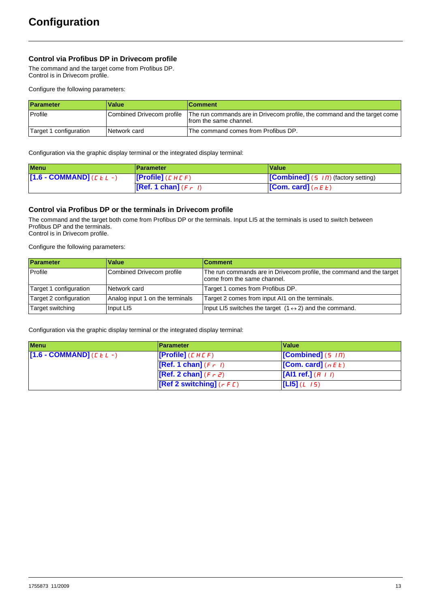### **Control via Profibus DP in Drivecom profile**

The command and the target come from Profibus DP. Control is in Drivecom profile.

Configure the following parameters:

| Parameter              | <b>Value</b>              | ∣Comment                                                                                            |
|------------------------|---------------------------|-----------------------------------------------------------------------------------------------------|
| Profile                | Combined Drivecom profile | The run commands are in Drivecom profile, the command and the target come<br>from the same channel. |
| Target 1 configuration | Network card              | The command comes from Profibus DP.                                                                 |

Configuration via the graphic display terminal or the integrated display terminal:

| <b>Menu</b>               | ∣Parameter                  | ∣Value                                                                 |  |
|---------------------------|-----------------------------|------------------------------------------------------------------------|--|
| $[T1.6 - COMMAND](LLL -)$ | <b>[Profile]</b> ( $CHLF$ ) | <b>[Combined]</b> (5 $\overline{1}$ $\overline{1}$ ) (factory setting) |  |
|                           | [Ref. 1 chan] $(F - I)$     | <b>[Com. card]</b> ( $n \in E$ )                                       |  |

### **Control via Profibus DP or the terminals in Drivecom profile**

The command and the target both come from Profibus DP or the terminals. Input LI5 at the terminals is used to switch between Profibus DP and the terminals. Control is in Drivecom profile.

Configure the following parameters:

| Parameter              | <b>Value</b>                    | ∣Comment                                                                                            |
|------------------------|---------------------------------|-----------------------------------------------------------------------------------------------------|
| Profile                | Combined Drivecom profile       | The run commands are in Drivecom profile, the command and the target<br>come from the same channel. |
| Target 1 configuration | Network card                    | Target 1 comes from Profibus DP.                                                                    |
| Target 2 configuration | Analog input 1 on the terminals | Target 2 comes from input AI1 on the terminals.                                                     |
| Target switching       | Input LI5                       | Input LI5 switches the target $(1 \leftrightarrow 2)$ and the command.                              |

Configuration via the graphic display terminal or the integrated display terminal:

| <b>Menu</b>                          | <b>Parameter</b>                                | Value                            |
|--------------------------------------|-------------------------------------------------|----------------------------------|
| $[1.6 - COMMAND]$ ( <i>C E L -</i> ) | <b>[Profile]</b> $(L H L F)$                    | $[Combined]$ (5 $\sqrt{n}$ )     |
|                                      | $[Ref. 1 chan] (F - I)$                         | <b>[Com. card]</b> ( $n \in E$ ) |
|                                      | <b>[Ref. 2 chan]</b> $(F \rightharpoondown F)$  | $\left[$ [Al1 ref.] (A    )      |
|                                      | <b>[Ref 2 switching]</b> ( $r \in \mathbb{C}$ ) | [L15](L 15)                      |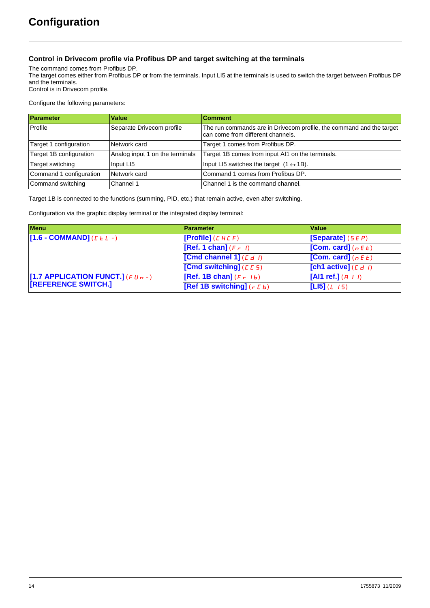### **Control in Drivecom profile via Profibus DP and target switching at the terminals**

The command comes from Profibus DP.

The target comes either from Profibus DP or from the terminals. Input LI5 at the terminals is used to switch the target between Profibus DP and the terminals.

Control is in Drivecom profile.

Configure the following parameters:

| Parameter               | Value                           | <b>Comment</b>                                                                                            |  |
|-------------------------|---------------------------------|-----------------------------------------------------------------------------------------------------------|--|
| Profile                 | Separate Drivecom profile       | The run commands are in Drivecom profile, the command and the target<br>can come from different channels. |  |
| Target 1 configuration  | Network card                    | Target 1 comes from Profibus DP.                                                                          |  |
| Target 1B configuration | Analog input 1 on the terminals | Target 1B comes from input AI1 on the terminals.                                                          |  |
| Target switching        | Input LI5                       | Input LI5 switches the target $(1 \leftrightarrow 1B)$ .                                                  |  |
| Command 1 configuration | Network card                    | Command 1 comes from Profibus DP.                                                                         |  |
| Command switching       | Channel 1                       | Channel 1 is the command channel.                                                                         |  |

Target 1B is connected to the functions (summing, PID, etc.) that remain active, even after switching.

Configuration via the graphic display terminal or the integrated display terminal:

| <b>Menu</b>                            | <b>Parameter</b>             | Value                  |
|----------------------------------------|------------------------------|------------------------|
| $[1.6 - COMMAND]$ ( <i>C E L -</i> )   | [Profile] $(L H L F)$        | [Separate] $(5EP)$     |
|                                        | [Ref. 1 chan] $(F - I)$      | [Com. card] $(n E E)$  |
|                                        | [Cmd channel 1] $(L d I)$    | [Com. card] $(nE E)$   |
|                                        | [Cmd switching] $(E E 5)$    | [ch1 active] $(L d I)$ |
| [1.7 APPLICATION FUNCT.] (F $\mu$ n -) | [Ref. 1B chan] $(F - Ib)$    | [Al1 ref.] $(H + I)$   |
| <b>REFERENCE SWITCH.]</b>              | [Ref 1B switching] $(r L b)$ | $[L15](L \t15)$        |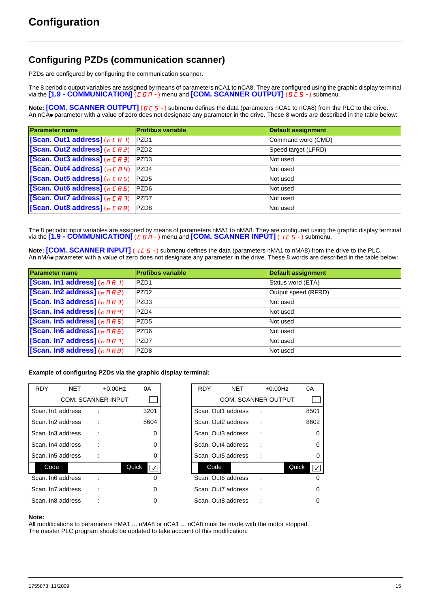### <span id="page-14-0"></span>**Configuring PZDs (communication scanner)**

PZDs are configured by configuring the communication scanner.

The 8 periodic output variables are assigned by means of parameters nCA1 to nCA8. They are configured using the graphic display terminal via the **[1.9 - COMMUNICATION]** (*C 0 II* - ) menu and **[COM. SCANNER OUTPUT]** (*D C* 5 - ) submenu.

**Note: [COM. SCANNER OUTPUT]** (D C 5 -) submenu defines the data (parameters nCA1 to nCA8) from the PLC to the drive. An nCAo parameter with a value of zero does not designate any parameter in the drive. These 8 words are described in the table below:

| <b>Parameter name</b>               | <b>Profibus variable</b> | <b>Default assignment</b> |
|-------------------------------------|--------------------------|---------------------------|
| [Scan. Out1 address] $(n E H I)$    | PZD <sub>1</sub>         | Command word (CMD)        |
| [Scan. Out2 address] $(nE \mid RZ)$ | PZD <sub>2</sub>         | Speed target (LFRD)       |
| [Scan. Out3 address] $(nE H J)$     | PZD <sub>3</sub>         | Not used                  |
| [Scan. Out4 address] $(n E H 4)$    | PZD4                     | Not used                  |
| [Scan. Out5 address] $(nE H5)$      | PZD <sub>5</sub>         | Not used                  |
| [Scan. Out6 address] $(nEHB)$       | PZD <sub>6</sub>         | Not used                  |
| [Scan. Out7 address] $(n E H 7)$    | PZD7                     | Not used                  |
| [Scan. Out8 address] (n [ A B)      | PZD <sub>8</sub>         | Not used                  |

The 8 periodic input variables are assigned by means of parameters nMA1 to nMA8. They are configured using the graphic display terminal via the  $[1.9$  - **COMMUNICATION**  $[CDM]$  - menu and **[COM. SCANNER INPUT]** ( $[ICS]$ -) submenu.

**Note: [COM. SCANNER INPUT]** (ICS-) submenu defines the data (parameters nMA1 to nMA8) from the drive to the PLC. An nMA<sup></sub> parameter with a value of zero does not designate any parameter in the drive. These 8 words are described in the table below:</sup>

| <b>Parameter name</b>                                 | <b>Profibus variable</b> | <b>Default assignment</b> |
|-------------------------------------------------------|--------------------------|---------------------------|
| [Scan. In1 address] $(n \nmid n + 1)$                 | PZD <sub>1</sub>         | Status word (ETA)         |
| [Scan. In2 address] $(n \pi R^2)$                     | PZD <sub>2</sub>         | Output speed (RFRD)       |
| [Scan. In3 address] $(n \nmid n \nmid 3)$             | PZD <sub>3</sub>         | Not used                  |
| [Scan. In4 address] $(n \nmid H \nmid Y)$             | PZD4                     | Not used                  |
| [Scan. In5 address] $(n \nmid n 5)$                   | PZD <sub>5</sub>         | Not used                  |
| [Scan. In6 address] $(n \nmid nH)$                    | PZD <sub>6</sub>         | Not used                  |
| [Scan. In7 address] $(n \nmid n \nmid 7)$             | PZD7                     | Not used                  |
| [Scan. In8 address] $(n \nmid \textit{H} \textit{H})$ | PZD <sub>8</sub>         | Not used                  |

**Example of configuring PZDs via the graphic display terminal:**

| <b>RDY</b> | <b>NET</b>         | $+0.00$ Hz                | 0A                     |
|------------|--------------------|---------------------------|------------------------|
|            |                    | <b>COM. SCANNER INPUT</b> |                        |
|            | Scan. In1 address  |                           | 3201                   |
|            | Scan. In2 address  |                           | 8604                   |
|            | Scan. In3 address  |                           | 0                      |
|            | Scan. In4 address  |                           | 0                      |
|            | Scan. In5 address  |                           | 0                      |
| Code       |                    |                           | Quick<br>$\frac{1}{2}$ |
|            | Scan. In6 address  |                           | 0                      |
|            | Scan. In 7 address |                           | 0                      |
|            | Scan. In8 address  |                           | 0                      |

| <b>NET</b> | $+0.00$ Hz         | 0A                 | <b>RDY</b> | <b>NET</b>         | $+0.00$ Hz                 | 0A       |
|------------|--------------------|--------------------|------------|--------------------|----------------------------|----------|
|            | COM. SCANNER INPUT |                    |            |                    | <b>COM. SCANNER OUTPUT</b> |          |
| address    |                    | 3201               |            | Scan, Out1 address |                            | 8501     |
| address    |                    | 8604               |            | Scan, Out2 address |                            | 8602     |
| address    |                    | $\Omega$           |            | Scan. Out3 address |                            | $\Omega$ |
| address    |                    | 0                  |            | Scan, Out4 address |                            | 0        |
| address    |                    | 0                  |            | Scan. Out5 address |                            | 0        |
|            |                    | Quick<br>$\sqrt{}$ | Code       |                    |                            | Quick    |
| address    |                    | 0                  |            | Scan. Out6 address |                            |          |
| address    |                    | 0                  |            | Scan, Out7 address |                            | 0        |
| address    |                    | 0                  |            | Scan, Out8 address |                            | 0        |

#### **Note:**

All modifications to parameters nMA1 ... nMA8 or nCA1 ... nCA8 must be made with the motor stopped. The master PLC program should be updated to take account of this modification.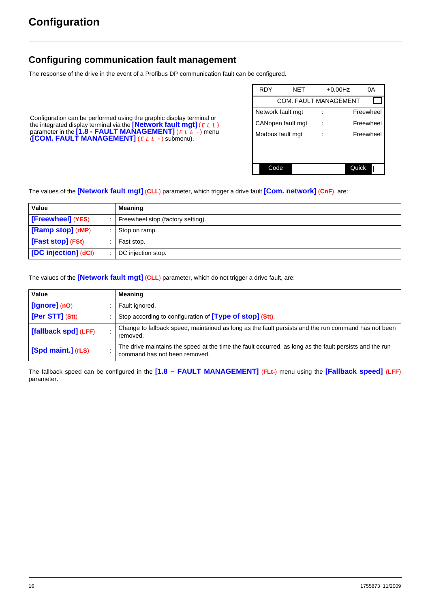### <span id="page-15-0"></span>**Configuring communication fault management**

The response of the drive in the event of a Profibus DP communication fault can be configured.

Configuration can be performed using the graphic display terminal or the integrated display terminal via the **[Network fault mgt]** (CLL) parameter in the **[1.8 - FAULT MANAGEMENT]** (FLE-) menu (**[COM. FAULT MANAGEMENT]** (CLL-) submenu).

| <b>RDY</b>        | NFT                          | $+0.00$ Hz | 0A        |
|-------------------|------------------------------|------------|-----------|
|                   | <b>COM. FAULT MANAGEMENT</b> |            |           |
| Network fault mgt |                              |            | Freewheel |
|                   | CANopen fault mgt            |            | Freewheel |
| Modbus fault mgt  |                              |            | Freewheel |
|                   |                              |            |           |
|                   |                              |            |           |
| Code              |                              | Quick      |           |

The values of the **[Network fault mgt]** (**CLL**) parameter, which trigger a drive fault **[Com. network]** (**CnF**), are:

| Value                | Meaning                           |  |
|----------------------|-----------------------------------|--|
| [Freewheel] (YES)    | Freewheel stop (factory setting). |  |
| [Ramp stop] (rMP)    | Stop on ramp.                     |  |
| [Fast stop] (FSt)    | Fast stop.                        |  |
| [DC injection] (dCl) | DC injection stop.                |  |

The values of the **[Network fault mgt]** (**CLL**) parameter, which do not trigger a drive fault, are:

| Value                                                                                                                                   | <b>Meaning</b>                                                                                                                           |
|-----------------------------------------------------------------------------------------------------------------------------------------|------------------------------------------------------------------------------------------------------------------------------------------|
| $[lgmore]$ (nO)                                                                                                                         | Fault ignored.                                                                                                                           |
| [Per STT] (Stt)                                                                                                                         | Stop according to configuration of <b>[Type of stop]</b> (Stt).                                                                          |
| Change to fallback speed, maintained as long as the fault persists and the run command has not been<br>[fallback spd] (LFF)<br>removed. |                                                                                                                                          |
| [Spd maint.] (rLS)                                                                                                                      | The drive maintains the speed at the time the fault occurred, as long as the fault persists and the run<br>command has not been removed. |

The fallback speed can be configured in the **[1.8 – FAULT MANAGEMENT]** (**FLt-**) menu using the **[Fallback speed]** (**LFF**) parameter.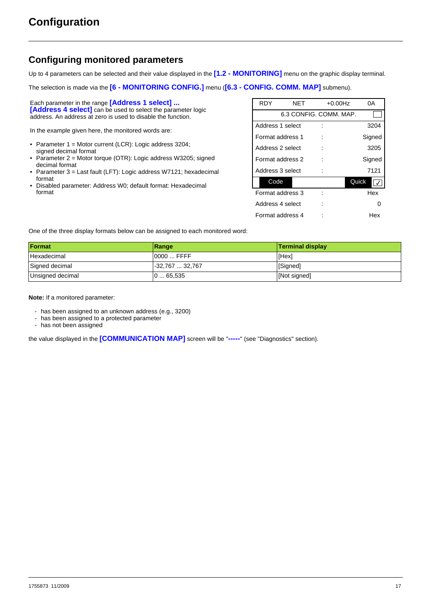### <span id="page-16-0"></span>**Configuring monitored parameters**

Up to 4 parameters can be selected and their value displayed in the **[1.2 - MONITORING]** menu on the graphic display terminal.

The selection is made via the **[6 - MONITORING CONFIG.]** menu (**[6.3 - CONFIG. COMM. MAP]** submenu).

Each parameter in the range **[Address 1 select] ... [Address 4 select]** can be used to select the parameter logic address. An address at zero is used to disable the function.

In the example given here, the monitored words are:

- Parameter 1 = Motor current (LCR): Logic address 3204; signed decimal format
- Parameter 2 = Motor torque (OTR): Logic address W3205; signed decimal format
- Parameter 3 = Last fault (LFT): Logic address W7121; hexadecimal format
- Disabled parameter: Address W0; default format: Hexadecimal format

| <b>RDY</b>       | NET | $+0.00$ Hz             | 0Α     |
|------------------|-----|------------------------|--------|
|                  |     | 6.3 CONFIG. COMM. MAP. |        |
| Address 1 select |     |                        | 3204   |
| Format address 1 |     |                        | Signed |
| Address 2 select |     |                        | 3205   |
| Format address 2 |     |                        | Signed |
| Address 3 select |     |                        | 7121   |
| Code             |     |                        | Quick  |
| Format address 3 |     |                        | Hex    |
| Address 4 select |     |                        |        |
| Format address 4 |     |                        | Hex    |

One of the three display formats below can be assigned to each monitored word:

| Format           | Range           | <b>Terminal display</b> |
|------------------|-----------------|-------------------------|
| Hexadecimal      | 0000  FFFF      | [Hex]                   |
| Signed decimal   | -32.767  32.767 | [Signed]                |
| Unsigned decimal | 065,535         | [Not signed]            |

**Note:** If a monitored parameter:

- has been assigned to an unknown address (e.g., 3200)
- has been assigned to a protected parameter
- has not been assigned

the value displayed in the **[COMMUNICATION MAP]** screen will be "**-----**" (see "Diagnostics" section).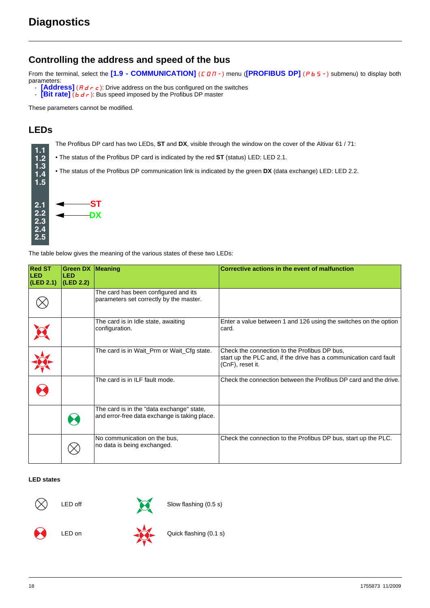### <span id="page-17-1"></span><span id="page-17-0"></span>**Controlling the address and speed of the bus**

From the terminal, select the <sup>[1.9</sup> - COMMUNICATION] (C D N -) menu (<sup>[PROFIBUS DP] (P b 5 -) submenu) to display both</sup> parameters:

- **[Address]** ( $A \neq r \neq$ ): Drive address on the bus configured on the switches
- **Eit rate]** (bdr): Bus speed imposed by the Profibus DP master

These parameters cannot be modified.

### <span id="page-17-2"></span>**LEDs**

**1.1 1.2 1.3 1.4** The Profibus DP card has two LEDs, **ST** and **DX**, visible through the window on the cover of the Altivar 61 / 71:

• The status of the Profibus DP card is indicated by the red **ST** (status) LED: LED 2.1.

• The status of the Profibus DP communication link is indicated by the green **DX** (data exchange) LED: LED 2.2.



The table below gives the meaning of the various states of these two LEDs:

| <b>Red ST</b><br><b>LED</b><br>(LED 2.1) | <b>Green DX Meaning</b><br><b>LED</b><br>(LED 2.2) |                                                                                            | Corrective actions in the event of malfunction                                                                                        |
|------------------------------------------|----------------------------------------------------|--------------------------------------------------------------------------------------------|---------------------------------------------------------------------------------------------------------------------------------------|
|                                          |                                                    | The card has been configured and its<br>parameters set correctly by the master.            |                                                                                                                                       |
|                                          |                                                    | The card is in Idle state, awaiting<br>configuration.                                      | Enter a value between 1 and 126 using the switches on the option<br>card.                                                             |
|                                          |                                                    | The card is in Wait_Prm or Wait_Cfg state.                                                 | Check the connection to the Profibus DP bus,<br>start up the PLC and, if the drive has a communication card fault<br>(CnF), reset it. |
|                                          |                                                    | The card is in ILF fault mode.                                                             | Check the connection between the Profibus DP card and the drive.                                                                      |
|                                          |                                                    | The card is in the "data exchange" state,<br>and error-free data exchange is taking place. |                                                                                                                                       |
|                                          |                                                    | No communication on the bus,<br>no data is being exchanged.                                | Check the connection to the Profibus DP bus, start up the PLC.                                                                        |

### **LED states**



LED off Slow flashing (0.5 s)





LED on Quick flashing (0.1 s)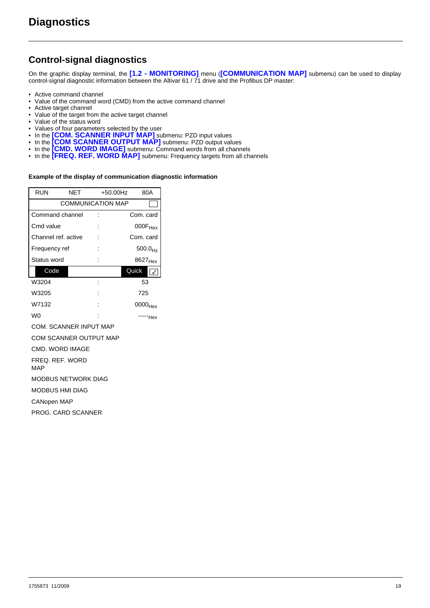### <span id="page-18-0"></span>**Control-signal diagnostics**

On the graphic display terminal, the **[1.2 - MONITORING]** menu (**[COMMUNICATION MAP]** submenu) can be used to display control-signal diagnostic information between the Altivar 61 / 71 drive and the Profibus DP master:

- Active command channel
- Value of the command word (CMD) from the active command channel
- Active target channel
- Value of the target from the active target channel
- Value of the status word
- Values of four parameters selected by the user
- In the **[COM. SCANNER INPUT MAP]** submenu: PZD input values
- In the **[COM SCANNER OUTPUT MAP]** submenu: PZD output values
- In the **[CMD. WORD IMAGE]** submenu: Command words from all channels
- In the **[FREQ. REF. WORD MAP]** submenu: Frequency targets from all channels

#### **Example of the display of communication diagnostic information**

| RUN                 | NET                      | +50.00Hz               |                     | 80A                 |  |  |  |  |  |  |
|---------------------|--------------------------|------------------------|---------------------|---------------------|--|--|--|--|--|--|
|                     | <b>COMMUNICATION MAP</b> |                        |                     |                     |  |  |  |  |  |  |
| Command channel     |                          |                        |                     | Com. card           |  |  |  |  |  |  |
| Cmd value           |                          |                        |                     | $000F_{Hex}$        |  |  |  |  |  |  |
| Channel ref. active |                          |                        |                     | Com. card           |  |  |  |  |  |  |
| Frequency ref       |                          |                        |                     | 500.0 <sub>Hz</sub> |  |  |  |  |  |  |
| Status word         |                          |                        | 8627 <sub>Hex</sub> |                     |  |  |  |  |  |  |
| Code                |                          |                        | Quick               |                     |  |  |  |  |  |  |
| W3204               |                          |                        |                     | 53                  |  |  |  |  |  |  |
| W3205               |                          |                        |                     | 725                 |  |  |  |  |  |  |
| W7132               |                          |                        |                     | 0000 <sub>Hex</sub> |  |  |  |  |  |  |
| W <sub>0</sub>      |                          |                        |                     | "Hex                |  |  |  |  |  |  |
|                     | COM. SCANNER INPUT MAP   |                        |                     |                     |  |  |  |  |  |  |
|                     |                          | COM SCANNER OUTPUT MAP |                     |                     |  |  |  |  |  |  |

CMD. WORD IMAGE

FREQ. REF. WORD

MAP

MODBUS NETWORK DIAG

MODBUS HMI DIAG

CANopen MAP

PROG. CARD SCANNER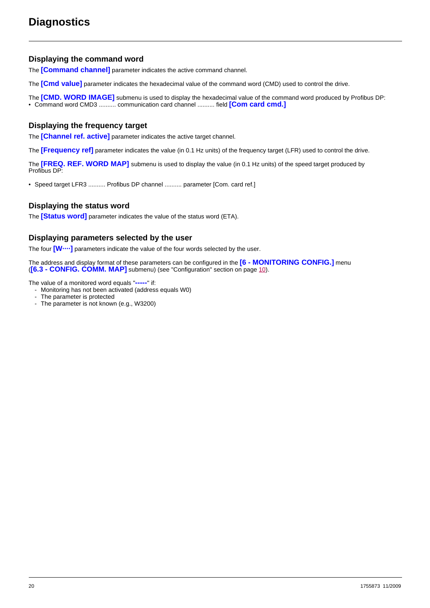### **Displaying the command word**

The **[Command channel]** parameter indicates the active command channel.

The **[Cmd value]** parameter indicates the hexadecimal value of the command word (CMD) used to control the drive.

The **[CMD. WORD IMAGE]** submenu is used to display the hexadecimal value of the command word produced by Profibus DP:

• Command word CMD3 .......... communication card channel .......... field **[Com card cmd.]**

### **Displaying the frequency target**

The **[Channel ref. active]** parameter indicates the active target channel.

The **[Frequency ref]** parameter indicates the value (in 0.1 Hz units) of the frequency target (LFR) used to control the drive.

The **[FREQ. REF. WORD MAP]** submenu is used to display the value (in 0.1 Hz units) of the speed target produced by Profibus DP:

• Speed target LFR3 .......... Profibus DP channel .......... parameter [Com. card ref.]

### **Displaying the status word**

The **[Status word]** parameter indicates the value of the status word (ETA).

### **Displaying parameters selected by the user**

The four **[W····]** parameters indicate the value of the four words selected by the user.

The address and display format of these parameters can be configured in the **[6 - MONITORING CONFIG.]** menu (**[6.3 - CONFIG. COMM. MAP]** submenu) (see "Configuration" section on page [10\)](#page-9-0).

The value of a monitored word equals "**-----**" if:

- Monitoring has not been activated (address equals W0)
	- The parameter is protected
- The parameter is not known (e.g., W3200)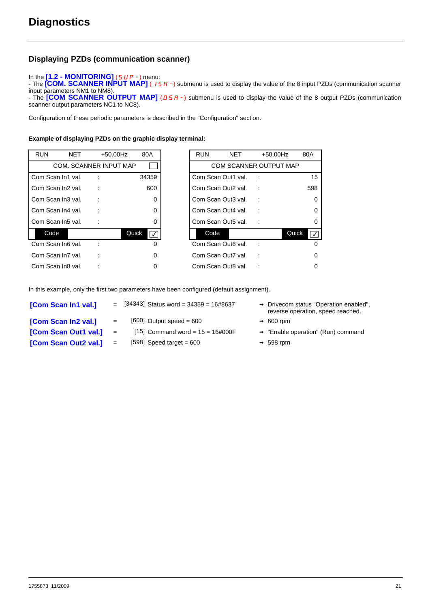### **Displaying PZDs (communication scanner)**

#### In the [1.2 - **MONITORING**] (5 *UP -* ) menu:

- The **[COM. SCANNER INPUT MAP]** ( $I$  5 A -) submenu is used to display the value of the 8 input PZDs (communication scanner input parameters NM1 to NM8).

- The **[COM SCANNER OUTPUT MAP]** ( $B$  S A -) submenu is used to display the value of the 8 output PZDs (communication scanner output parameters NC1 to NC8).

Configuration of these periodic parameters is described in the "Configuration" section.

#### **Example of displaying PZDs on the graphic display terminal:**

| <b>RUN</b>        | <b>NET</b> | +50.00Hz                      | 80A                            | <b>RUN</b>         | <b>NET</b> | $+50.00$ Hz                   | 80A                              |
|-------------------|------------|-------------------------------|--------------------------------|--------------------|------------|-------------------------------|----------------------------------|
|                   |            | <b>COM. SCANNER INPUT MAP</b> |                                |                    |            | <b>COM SCANNER OUTPUT MAP</b> |                                  |
| Com Scan In1 val. |            |                               | 34359                          | Com Scan Out1 val. |            |                               | 15                               |
| Com Scan In2 val. |            |                               | 600                            | Com Scan Out2 val. |            |                               | 598                              |
| Com Scan In3 val. |            |                               | 0                              | Com Scan Out3 val. |            |                               | $\mathbf 0$                      |
| Com Scan In4 val. |            |                               | $\Omega$                       | Com Scan Out4 val. |            |                               | $\mathbf 0$                      |
| Com Scan In5 val. |            |                               | 0                              | Com Scan Out5 val. |            |                               | 0                                |
| Code              |            |                               | Quick<br>$\overline{\sqrt{2}}$ | Code               |            |                               | Quick<br>$\overline{\mathsf{v}}$ |
| Com Scan In6 val. |            |                               | 0                              | Com Scan Out6 val. |            |                               | $\Omega$                         |
| Com Scan In7 val. |            |                               | $\Omega$                       | Com Scan Out7 val. |            |                               | 0                                |
| Com Scan In8 val. |            |                               | 0                              | Com Scan Out8 val. |            |                               | 0                                |

| <b>RUN</b> | <b>NET</b>        | +50.00Hz                      | 80A         |
|------------|-------------------|-------------------------------|-------------|
|            |                   | <b>COM. SCANNER INPUT MAP</b> |             |
|            | Com Scan In1 val. |                               | 34359       |
|            | Com Scan In2 val. |                               | 600         |
|            | Com Scan In3 val. |                               | 0           |
|            | Com Scan In4 val. |                               | 0           |
|            | Com Scan In5 val. |                               | 0           |
| Code       |                   |                               | Quick<br>ℾ✓ |
|            | Com Scan In6 val. |                               | 0           |
|            | Com Scan In7 val. |                               | 0           |
|            | Com Scan In8 val. |                               |             |

In this example, only the first two parameters have been configured (default assignment).

| [Com Scan In1 val.]  |     | $=$ [34343] Status word = 34359 = 16#8637 | $\rightarrow$ Drivecom status "Operation enabled",<br>reverse operation, speed reached. |
|----------------------|-----|-------------------------------------------|-----------------------------------------------------------------------------------------|
| [Com Scan In2 val.]  | $=$ | $[600]$ Output speed = 600                | $\rightarrow 600$ rpm                                                                   |
| [Com Scan Out1 val.] | $=$ | [15] Command word = $15 = 16 \# 000F$     | $\rightarrow$ "Enable operation" (Run) command                                          |
| [Com Scan Out2 val.] | $=$ | $[598]$ Speed target = 600                | $\rightarrow$ 598 rpm                                                                   |
|                      |     |                                           |                                                                                         |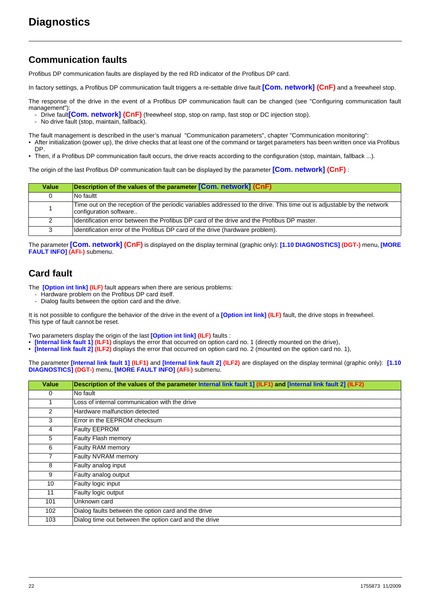### <span id="page-21-0"></span>**Communication faults**

Profibus DP communication faults are displayed by the red RD indicator of the Profibus DP card.

In factory settings, a Profibus DP communication fault triggers a re-settable drive fault **[Com. network] (CnF)** and a freewheel stop.

The response of the drive in the event of a Profibus DP communication fault can be changed (see "Configuring communication fault management")

- Drive fault<sup>[</sup>Com. network] (CnF) (freewheel stop, stop on ramp, fast stop or DC injection stop).
- No drive fault (stop, maintain, fallback).

The fault management is described in the user's manual "Communication parameters", chapter "Communication monitoring":

- After initialization (power up), the drive checks that at least one of the command or target parameters has been written once via Profibus DP.
- Then, if a Profibus DP communication fault occurs, the drive reacts according to the configuration (stop, maintain, fallback ...).

The origin of the last Profibus DP communication fault can be displayed by the parameter **[Com. network] (CnF)** :

| Value | Description of the values of the parameter [Com. network] (CnF)                                                                                  |
|-------|--------------------------------------------------------------------------------------------------------------------------------------------------|
| 0     | No faultt                                                                                                                                        |
|       | Time out on the reception of the periodic variables addressed to the drive. This time out is adjustable by the network<br>configuration software |
|       | Identification error between the Profibus DP card of the drive and the Profibus DP master.                                                       |
| 3     | Identification error of the Profibus DP card of the drive (hardware problem).                                                                    |

The parameter **[Com. network] (CnF)** is displayed on the display terminal (graphic only): **[1.10 DIAGNOSTICS] (DGT-)** menu, **[MORE FAULT INFO] (AFI-)** submenu.

### <span id="page-21-1"></span>**Card fault**

The **[Option int link] (ILF)** fault appears when there are serious problems:

- Hardware problem on the Profibus DP card itself.
- Dialog faults between the option card and the drive.

It is not possible to configure the behavior of the drive in the event of a **[Option int link] (ILF)** fault, the drive stops in freewheel. This type of fault cannot be reset.

Two parameters display the origin of the last **[Option int link] (ILF)** faults :

- **[Internal link fault 1] (ILF1)** displays the error that occurred on option card no. 1 (directly mounted on the drive),
- **[Internal link fault 2] (ILF2)** displays the error that occurred on option card no. 2 (mounted on the option card no. 1),

The parameter **[Internal link fault 1] (ILF1)** and **[Internal link fault 2] (ILF2)** are displayed on the display terminal (graphic only): **[1.10 DIAGNOSTICS] (DGT-)** menu, **[MORE FAULT INFO] (AFI-)** submenu.

| <b>Value</b> | Description of the values of the parameter Internal link fault 1] (ILF1) and [Internal link fault 2] (ILF2) |
|--------------|-------------------------------------------------------------------------------------------------------------|
| 0            | No fault                                                                                                    |
| 1            | Loss of internal communication with the drive                                                               |
| 2            | Hardware malfunction detected                                                                               |
| 3            | Error in the EEPROM checksum                                                                                |
| 4            | Faulty EEPROM                                                                                               |
| 5            | Faulty Flash memory                                                                                         |
| 6            | Faulty RAM memory                                                                                           |
| 7            | Faulty NVRAM memory                                                                                         |
| 8            | Faulty analog input                                                                                         |
| 9            | Faulty analog output                                                                                        |
| 10           | Faulty logic input                                                                                          |
| 11           | Faulty logic output                                                                                         |
| 101          | Unknown card                                                                                                |
| 102          | Dialog faults between the option card and the drive                                                         |
| 103          | Dialog time out between the option card and the drive                                                       |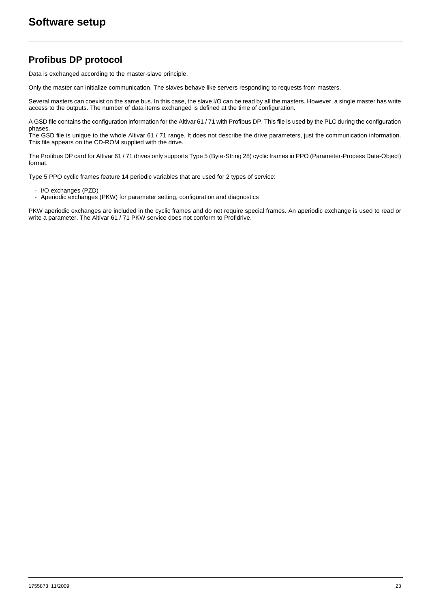### <span id="page-22-1"></span><span id="page-22-0"></span>**Profibus DP protocol**

Data is exchanged according to the master-slave principle.

Only the master can initialize communication. The slaves behave like servers responding to requests from masters.

Several masters can coexist on the same bus. In this case, the slave I/O can be read by all the masters. However, a single master has write access to the outputs. The number of data items exchanged is defined at the time of configuration.

A GSD file contains the configuration information for the Altivar 61 / 71 with Profibus DP. This file is used by the PLC during the configuration phases.

The GSD file is unique to the whole Altivar 61 / 71 range. It does not describe the drive parameters, just the communication information. This file appears on the CD-ROM supplied with the drive.

The Profibus DP card for Altivar 61 / 71 drives only supports Type 5 (Byte-String 28) cyclic frames in PPO (Parameter-Process Data-Object) format.

Type 5 PPO cyclic frames feature 14 periodic variables that are used for 2 types of service:

- I/O exchanges (PZD)
- Aperiodic exchanges (PKW) for parameter setting, configuration and diagnostics

PKW aperiodic exchanges are included in the cyclic frames and do not require special frames. An aperiodic exchange is used to read or write a parameter. The Altivar 61 / 71 PKW service does not conform to Profidrive.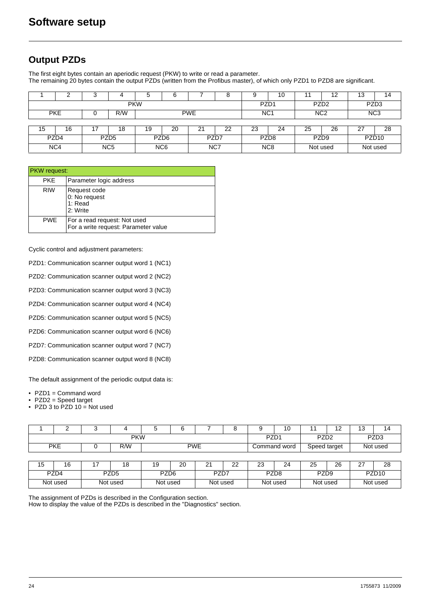### <span id="page-23-0"></span>**Output PZDs**

The first eight bytes contain an aperiodic request (PKW) to write or read a parameter. The remaining 20 bytes contain the output PZDs (written from the Profibus master), of which only PZD1 to PZD8 are significant.

|            |            | J |                  | ٥                | 6                                                |             |      |    | 10               |                  | 12               | 13       | 14                |  |
|------------|------------|---|------------------|------------------|--------------------------------------------------|-------------|------|----|------------------|------------------|------------------|----------|-------------------|--|
| <b>PKW</b> |            |   |                  |                  |                                                  |             |      |    | PZD <sub>1</sub> |                  | PZD <sub>2</sub> |          | PZD <sub>3</sub>  |  |
|            | <b>PKE</b> |   | R/W              |                  | <b>PWE</b><br>NC <sub>1</sub><br>N <sub>C2</sub> |             |      |    |                  |                  | NC <sub>3</sub>  |          |                   |  |
|            |            |   |                  |                  |                                                  |             |      |    |                  |                  |                  |          |                   |  |
| 15         | 16         |   | 18               | 19               | 20                                               | $2^{\circ}$ | 22   | 23 | 24               | 25               | 26               | 2.       | 28                |  |
|            | PZD4       |   | PZD <sub>5</sub> |                  | PZD <sub>6</sub>                                 |             | PZD7 |    | PZD <sub>8</sub> | PZD <sub>9</sub> |                  |          | PZD <sub>10</sub> |  |
|            | NC4        |   | NC <sub>5</sub>  | N <sub>C</sub> 6 |                                                  |             | NC7  |    | N <sub>C</sub> 8 | Not used         |                  | Not used |                   |  |

| <b>PKW</b> request: |                                                                      |
|---------------------|----------------------------------------------------------------------|
| <b>PKE</b>          | Parameter logic address                                              |
| <b>RIW</b>          | Request code<br>0: No request<br>1: Read<br>2: Write                 |
| <b>PWE</b>          | For a read request: Not used<br>For a write request: Parameter value |

Cyclic control and adjustment parameters:

PZD1: Communication scanner output word 1 (NC1)

PZD2: Communication scanner output word 2 (NC2)

PZD3: Communication scanner output word 3 (NC3)

PZD4: Communication scanner output word 4 (NC4)

PZD5: Communication scanner output word 5 (NC5)

PZD6: Communication scanner output word 6 (NC6)

PZD7: Communication scanner output word 7 (NC7)

PZD8: Communication scanner output word 8 (NC8)

The default assignment of the periodic output data is:

• PZD1 = Command word

• PZD2 = Speed target

• PZD 3 to PZD 10 = Not used

|                          |                      | c                        |                      | 5  | 6                |                  | o                | 9                | 10               |                   | 12       | ィっ<br>د ا | 14 |
|--------------------------|----------------------|--------------------------|----------------------|----|------------------|------------------|------------------|------------------|------------------|-------------------|----------|-----------|----|
|                          |                      |                          | <b>PKW</b>           |    | PZD <sub>1</sub> |                  | PZD <sub>2</sub> |                  | PZD <sub>3</sub> |                   |          |           |    |
|                          | <b>PKE</b>           |                          | R/W                  |    | <b>PWE</b>       |                  |                  | Command word     |                  | Speed target      |          | Not used  |    |
|                          |                      |                          |                      |    |                  |                  |                  |                  |                  |                   |          |           |    |
| 15                       | 16                   |                          | 18                   | 19 | 20               | 21               | 22               | 23               | 24               | 25                | 26       | 27        | 28 |
| PZD4<br>PZD <sub>5</sub> |                      | PZD <sub>6</sub><br>PZD7 |                      |    |                  | PZD <sub>8</sub> |                  | PZD <sub>9</sub> |                  | PZD <sub>10</sub> |          |           |    |
|                          | Not used<br>Not used |                          | Not used<br>Not used |    |                  |                  | Not used         |                  | Not used         |                   | Not used |           |    |

The assignment of PZDs is described in the Configuration section.

How to display the value of the PZDs is described in the "Diagnostics" section.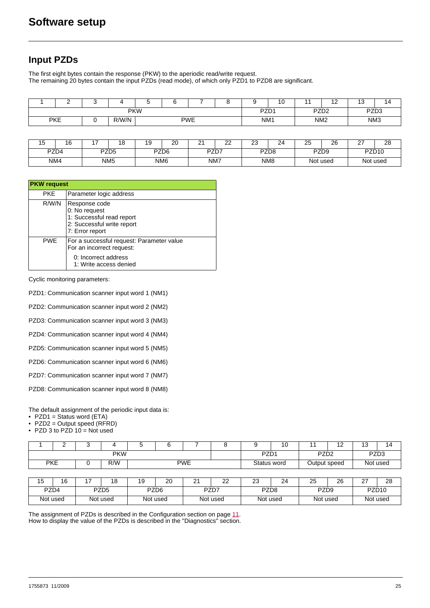### <span id="page-24-0"></span>**Input PZDs**

The first eight bytes contain the response (PKW) to the aperiodic read/write request. The remaining 20 bytes contain the input PZDs (read mode), of which only PZD1 to PZD8 are significant.

|            | -                                 |  |  |  |  |                 |  |                          | . .<br>◡ |                 | $\sim$<br>. .    | שו |  |
|------------|-----------------------------------|--|--|--|--|-----------------|--|--------------------------|----------|-----------------|------------------|----|--|
| <b>PKW</b> |                                   |  |  |  |  |                 |  | PZD1<br>PZD <sub>2</sub> |          |                 | PZD <sub>3</sub> |    |  |
|            | <b>PKE</b><br>R/W/N<br><b>PWE</b> |  |  |  |  | NM <sub>1</sub> |  | NM <sub>2</sub>          |          | NM <sub>3</sub> |                  |    |  |

| . –<br>שו | . .  | - | $\sim$<br>ט      | 19 | $\sim$<br>∠∪    | $\sim$<br>- | $\sim$<br><u>__</u> | $\sim$<br>ںے<br>__ | $\sim$<br>24 | $\sim$<br>∼      | 26       | $\sim$<br>-       | ററ<br>zo |
|-----------|------|---|------------------|----|-----------------|-------------|---------------------|--------------------|--------------|------------------|----------|-------------------|----------|
|           | PZD4 |   | PZD <sub>5</sub> |    | PZD6            |             | PZD7                | PZD <sub>8</sub>   |              | PZD <sub>9</sub> |          | PZD <sub>10</sub> |          |
|           | NM4  |   | NM <sub>5</sub>  |    | NM <sub>6</sub> |             | NM7                 |                    | NM8          |                  | Not used | Not used          |          |

|            | <b>PKW</b> request                                                                                           |  |  |  |  |  |  |  |  |
|------------|--------------------------------------------------------------------------------------------------------------|--|--|--|--|--|--|--|--|
| <b>PKE</b> | Parameter logic address                                                                                      |  |  |  |  |  |  |  |  |
| R/W/N      | Response code<br>0: No request<br>1: Successful read report<br>2: Successful write report<br>7: Error report |  |  |  |  |  |  |  |  |
| <b>PWE</b> | For a successful request: Parameter value<br>For an incorrect request:                                       |  |  |  |  |  |  |  |  |
|            | 0: Incorrect address<br>1: Write access denied                                                               |  |  |  |  |  |  |  |  |

Cyclic monitoring parameters:

PZD1: Communication scanner input word 1 (NM1)

PZD2: Communication scanner input word 2 (NM2)

PZD3: Communication scanner input word 3 (NM3)

PZD4: Communication scanner input word 4 (NM4)

PZD5: Communication scanner input word 5 (NM5)

PZD6: Communication scanner input word 6 (NM6)

PZD7: Communication scanner input word 7 (NM7)

PZD8: Communication scanner input word 8 (NM8)

The default assignment of the periodic input data is:

• PZD1 = Status word (ETA)

• PZD2 = Output speed (RFRD)

• PZD 3 to PZD  $10 = Not used$ 

|            | -                 |  |  |  |             |  |                                      | 10 |                  | $\overline{ }$<br>. . | . .<br>ر ِ | 14. |
|------------|-------------------|--|--|--|-------------|--|--------------------------------------|----|------------------|-----------------------|------------|-----|
| <b>PKW</b> |                   |  |  |  |             |  | PZD <sub>1</sub><br>PZD <sub>2</sub> |    | PZD <sub>3</sub> |                       |            |     |
| <b>PKE</b> | <b>PWE</b><br>R/W |  |  |  | Status word |  | Output speed                         |    |                  | Not used              |            |     |

| $\overline{ }$<br>ں ا | 16                                           |  | ı o      | ں ،                      | 20       | $\sim$<br>-      | $\sim$<br>∠∠ | $\sim$<br>دے | 24 | 25                | 26 | $\sim$<br>. . | 28 |
|-----------------------|----------------------------------------------|--|----------|--------------------------|----------|------------------|--------------|--------------|----|-------------------|----|---------------|----|
|                       | PZD4<br>PZD <sub>5</sub>                     |  |          | PZD <sub>6</sub><br>PZD7 |          | PZD <sub>8</sub> |              | PZD9         |    | PZD <sub>10</sub> |    |               |    |
|                       | Not used<br>Not used<br>Not used<br>Not used |  | Not used |                          | Not used |                  | Not used     |              |    |                   |    |               |    |

The assignment of PZDs is described in the Configuration section on page [11](#page-10-0). How to display the value of the PZDs is described in the "Diagnostics" section.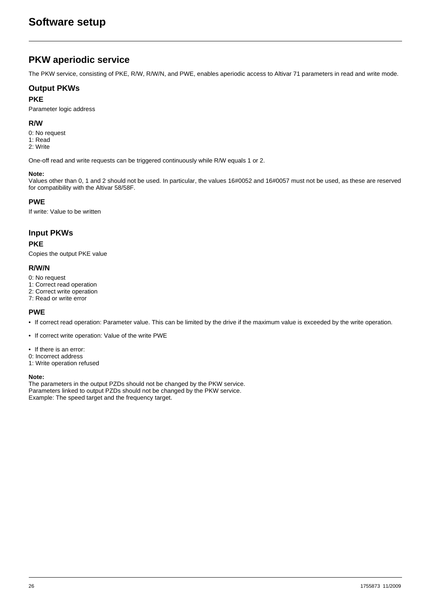### <span id="page-25-0"></span>**PKW aperiodic service**

The PKW service, consisting of PKE, R/W, R/W/N, and PWE, enables aperiodic access to Altivar 71 parameters in read and write mode.

### **Output PKWs**

#### **PKE**

Parameter logic address

#### **R/W**

- 0: No request
- 1: Read 2: Write
- 

One-off read and write requests can be triggered continuously while R/W equals 1 or 2.

#### **Note:**

Values other than 0, 1 and 2 should not be used. In particular, the values 16#0052 and 16#0057 must not be used, as these are reserved for compatibility with the Altivar 58/58F.

### **PWE**

If write: Value to be written

### **Input PKWs**

#### **PKE**

Copies the output PKE value

#### **R/W/N**

- 0: No request
- 1: Correct read operation
- 2: Correct write operation
- 7: Read or write error

### **PWE**

- If correct read operation: Parameter value. This can be limited by the drive if the maximum value is exceeded by the write operation.
- If correct write operation: Value of the write PWE
- If there is an error:
- 0: Incorrect address
- 1: Write operation refused

#### **Note:**

The parameters in the output PZDs should not be changed by the PKW service. Parameters linked to output PZDs should not be changed by the PKW service. Example: The speed target and the frequency target.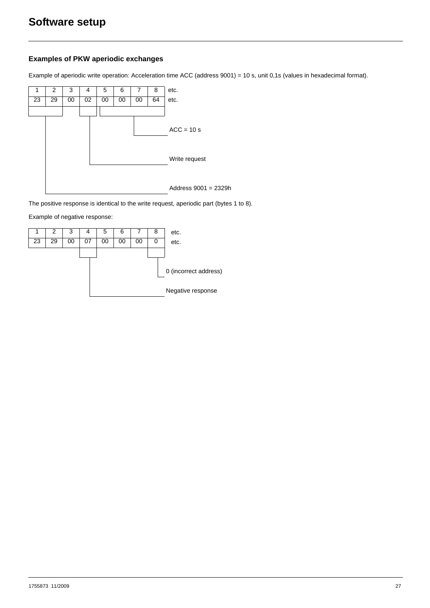### **Examples of PKW aperiodic exchanges**

Example of aperiodic write operation: Acceleration time ACC (address 9001) = 10 s, unit 0,1s (values in hexadecimal format).



The positive response is identical to the write request, aperiodic part (bytes 1 to 8).

Example of negative response:

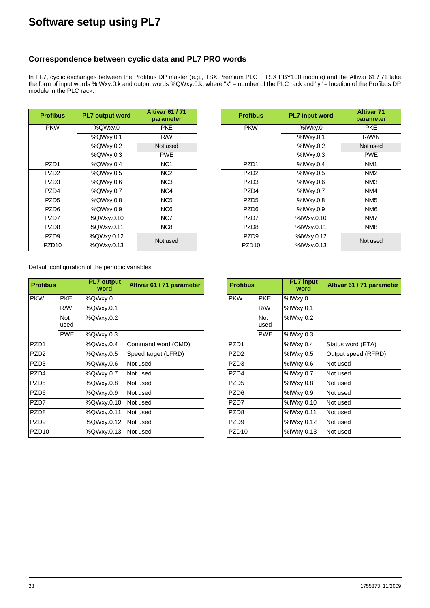### <span id="page-27-0"></span>**Correspondence between cyclic data and PL7 PRO words**

In PL7, cyclic exchanges between the Profibus DP master (e.g., TSX Premium PLC + TSX PBY100 module) and the Altivar 61 / 71 take the form of input words %IWxy.0.k and output words %QWxy.0.k, where "x" = number of the PLC rack and "y" = location of the Profibus DP module in the PLC rack.

| <b>Profibus</b>   | <b>PL7 output word</b> | <b>Altivar 61/71</b><br>parameter |  |  |
|-------------------|------------------------|-----------------------------------|--|--|
| <b>PKW</b>        | %QWxy.0                | <b>PKE</b>                        |  |  |
|                   | %QWxy.0.1              | R/W                               |  |  |
|                   | %QWxy.0.2              | Not used                          |  |  |
|                   | %QWxy.0.3              | <b>PWE</b>                        |  |  |
| PZD <sub>1</sub>  | %QWxy.0.4              | NC <sub>1</sub>                   |  |  |
| PZD <sub>2</sub>  | %QWxy.0.5              | NC <sub>2</sub>                   |  |  |
| PZD3              | %QWxy.0.6              | NC <sub>3</sub>                   |  |  |
| PZD4              | %QWxy.0.7              | NC4                               |  |  |
| PZD <sub>5</sub>  | %QWxy.0.8              | NC <sub>5</sub>                   |  |  |
| PZD6              | %QWxy.0.9              | NC <sub>6</sub>                   |  |  |
| PZD7              | %QWxy.0.10             | NC7                               |  |  |
| PZD <sub>8</sub>  | %QWxy.0.11             | N <sub>C</sub> 8                  |  |  |
| PZD <sub>9</sub>  | %QWxy.0.12             | Not used                          |  |  |
| PZD <sub>10</sub> | %QWxy.0.13             |                                   |  |  |

| <b>rofibus</b>    | <b>PL7 output word</b> | <b>Altivar 61/71</b><br>parameter | <b>Profibus</b>   | <b>PL7</b> input word | <b>Altivar 71</b><br>parameter |
|-------------------|------------------------|-----------------------------------|-------------------|-----------------------|--------------------------------|
| <b>PKW</b>        | %QWxy.0                | <b>PKE</b>                        | <b>PKW</b>        | %IWxy.0               | <b>PKE</b>                     |
|                   | %QWxy.0.1              | R/W                               |                   | %IWxy.0.1             | R/W/N                          |
|                   | %QWxy.0.2              | Not used                          |                   | %IWxy.0.2             | Not used                       |
|                   | %QWxy.0.3              | <b>PWE</b>                        |                   | %IWxy.0.3             | <b>PWE</b>                     |
| PZD <sub>1</sub>  | %QWxy.0.4              | NC <sub>1</sub>                   | PZD <sub>1</sub>  | %IWxy.0.4             | NM <sub>1</sub>                |
| PZD <sub>2</sub>  | %QWxy.0.5              | NC <sub>2</sub>                   | PZD <sub>2</sub>  | %IWxy.0.5             | NM <sub>2</sub>                |
| PZD <sub>3</sub>  | %QWxy.0.6              | NC <sub>3</sub>                   | PZD <sub>3</sub>  | %IWxy.0.6             | NM <sub>3</sub>                |
| PZD4              | %QWxy.0.7              | NC4                               | PZD4              | %IWxy.0.7             | NM4                            |
| PZD <sub>5</sub>  | %QWxy.0.8              | NC <sub>5</sub>                   | PZD <sub>5</sub>  | %IWxy.0.8             | NM <sub>5</sub>                |
| PZD <sub>6</sub>  | %QWxy.0.9              | NC <sub>6</sub>                   | PZD <sub>6</sub>  | %IWxy.0.9             | NM <sub>6</sub>                |
| PZD7              | %QWxy.0.10             | NC7                               | PZD7              | %IWxy.0.10            | NM7                            |
| PZD <sub>8</sub>  | %QWxy.0.11             | NC8                               | PZD <sub>8</sub>  | %IWxy.0.11            | NM <sub>8</sub>                |
| PZD <sub>9</sub>  | %QWxy.0.12             | Not used                          | PZD <sub>9</sub>  | %IWxy.0.12            | Not used                       |
| PZD <sub>10</sub> | %QWxy.0.13             |                                   | PZD <sub>10</sub> | %IWxy.0.13            |                                |
|                   |                        |                                   |                   |                       |                                |

Default configuration of the periodic variables

| <b>Profibus</b>   |              | <b>PL7 output</b><br>word | Altivar 61 / 71 parameter | <b>Profibus</b>   |             | <b>PL7</b> input<br>word | Altivar 61 / 71 param |
|-------------------|--------------|---------------------------|---------------------------|-------------------|-------------|--------------------------|-----------------------|
| <b>PKW</b>        | <b>PKE</b>   | %QWxy.0                   |                           | <b>PKW</b>        | <b>PKE</b>  | %IWxy.0                  |                       |
|                   | R/W          | %QWxy.0.1                 |                           |                   | R/W         | %IWxy.0.1                |                       |
|                   | Not.<br>used | %QWxy.0.2                 |                           |                   | Not<br>used | %IWxy.0.2                |                       |
|                   | <b>PWE</b>   | %QWxy.0.3                 |                           |                   | <b>PWE</b>  | %IWxy.0.3                |                       |
| PZD <sub>1</sub>  |              | %QWxy.0.4                 | Command word (CMD)        | PZD <sub>1</sub>  |             | %IWxy.0.4                | Status word (ETA)     |
| PZD <sub>2</sub>  |              | %QWxy.0.5                 | Speed target (LFRD)       | PZD <sub>2</sub>  |             | %IWxy.0.5                | Output speed (RFRD)   |
| PZD <sub>3</sub>  |              | %QWxy.0.6                 | Not used                  | PZD <sub>3</sub>  |             | %IWxy.0.6                | Not used              |
| PZD4              |              | %QWxy.0.7                 | Not used                  | PZD4              |             | %IWxy.0.7                | Not used              |
| PZD <sub>5</sub>  |              | %QWxy.0.8                 | Not used                  | PZD <sub>5</sub>  |             | %IWxy.0.8                | Not used              |
| PZD <sub>6</sub>  |              | %QWxy.0.9                 | Not used                  | PZD <sub>6</sub>  |             | %IWxy.0.9                | Not used              |
| PZD7              |              | %QWxy.0.10                | Not used                  | PZD7              |             | %IWxy.0.10               | Not used              |
| PZD <sub>8</sub>  |              | %QWxy.0.11                | Not used                  | PZD <sub>8</sub>  |             | %IWxy.0.11               | Not used              |
| PZD <sub>9</sub>  |              | %QWxy.0.12                | Not used                  | PZD <sub>9</sub>  |             | %IWxy.0.12               | Not used              |
| PZD <sub>10</sub> |              | %QWxy.0.13                | Not used                  | PZD <sub>10</sub> |             | %IWxy.0.13               | Not used              |

| <b>Profibus</b>   |             | <b>PL7</b> input<br>word | Altivar 61 / 71 parameter |
|-------------------|-------------|--------------------------|---------------------------|
| <b>PKW</b>        | <b>PKE</b>  | %IWxy.0                  |                           |
|                   | R/W         | %IWxy.0.1                |                           |
|                   | Not<br>used | %IWxy.0.2                |                           |
|                   | <b>PWE</b>  | %IWxy.0.3                |                           |
| <b>P7D1</b>       |             | %IWxy.0.4                | Status word (ETA)         |
| PZD <sub>2</sub>  |             | %IWxy.0.5                | Output speed (RFRD)       |
| PZD <sub>3</sub>  |             | %IWxy.0.6                | Not used                  |
| P7D4              |             | %IWxy.0.7                | Not used                  |
| PZD <sub>5</sub>  |             | %IWxy.0.8                | Not used                  |
| PZD <sub>6</sub>  |             | %IWxy.0.9                | Not used                  |
| PZD7              |             | %IWxy.0.10               | Not used                  |
| PZD <sub>8</sub>  |             | %IWxy.0.11               | Not used                  |
| PZD <sub>9</sub>  |             | %IWxy.0.12               | Not used                  |
| PZD <sub>10</sub> |             | %IWxy.0.13               | Not used                  |